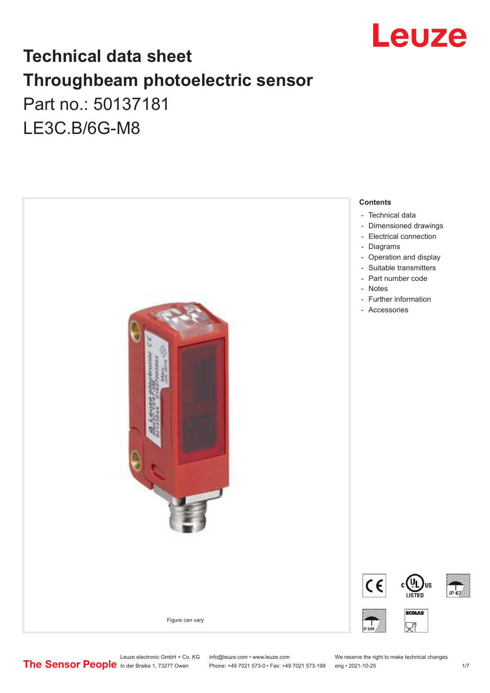

## **Technical data sheet Throughbeam photoelectric sensor**  Part no.: 50137181 LE3C.B/6G-M8



Leuze electronic GmbH + Co. KG info@leuze.com • www.leuze.com We reserve the right to make technical changes<br>
The Sensor People in der Braike 1, 73277 Owen Phone: +49 7021 573-0 • Fax: +49 7021 573-199 eng • 2021-10-25

Phone: +49 7021 573-0 • Fax: +49 7021 573-199 eng • 2021-10-25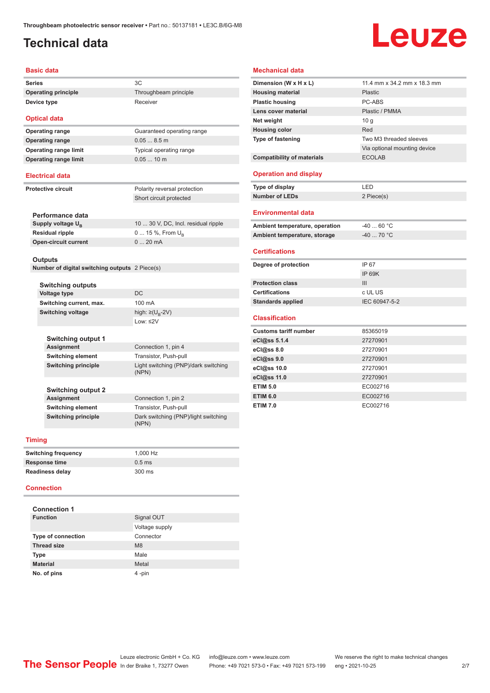## <span id="page-1-0"></span>**Technical data**

# Leuze

#### **Basic data**

**Series** 3C **Operating principle** Throughbeam principle **Device type** Receiver

**Optical data Operating range** 0.05 ... 8.5 m **Operating range limit** Typical operating range

## **Operating range** Guaranteed operating range **Operating range limit** 0.05 ... 10 m

#### **Electrical data**

**Protective circuit** Polarity reversal protection Short circuit protected

| Performance data              |                                     |
|-------------------------------|-------------------------------------|
| Supply voltage U <sub>p</sub> | 10  30 V, DC, Incl. residual ripple |
| Residual ripple               | 0  15 %, From $U_{\rm B}$           |
| <b>Open-circuit current</b>   | $020$ mA                            |
|                               |                                     |

#### **Outputs**

**Number of digital switching outputs** 2 Piece(s)

| <b>Switching outputs</b>   |                                               |  |  |
|----------------------------|-----------------------------------------------|--|--|
| <b>Voltage type</b>        | DC.                                           |  |  |
| Switching current, max.    | 100 mA                                        |  |  |
| Switching voltage          | high: $\geq$ (U <sub>p</sub> -2V)             |  |  |
|                            | $1$ nw: $\leq$ 2V                             |  |  |
|                            |                                               |  |  |
| Switching output 1         |                                               |  |  |
| <b>Assignment</b>          | Connection 1, pin 4                           |  |  |
| <b>Switching element</b>   | Transistor, Push-pull                         |  |  |
| <b>Switching principle</b> | Light switching (PNP)/dark switching<br>(NPN) |  |  |
|                            |                                               |  |  |
| <b>Switching output 2</b>  |                                               |  |  |
| Assignment                 | Connection 1, pin 2                           |  |  |
| <b>Switching element</b>   | Transistor, Push-pull                         |  |  |
| <b>Switching principle</b> | Dark switching (PNP)/light switching<br>(NPN) |  |  |
|                            |                                               |  |  |

#### **Timing**

| <b>Switching frequency</b> | 1.000 Hz |
|----------------------------|----------|
| Response time              | $0.5$ ms |
| <b>Readiness delay</b>     | 300 ms   |

#### **Connection**

| <b>Connection 1</b>       |                |  |  |  |
|---------------------------|----------------|--|--|--|
| <b>Function</b>           | Signal OUT     |  |  |  |
|                           | Voltage supply |  |  |  |
| <b>Type of connection</b> | Connector      |  |  |  |
| <b>Thread size</b>        | M <sub>8</sub> |  |  |  |
| <b>Type</b>               | Male           |  |  |  |
| <b>Material</b>           | Metal          |  |  |  |
| No. of pins               | 4-pin          |  |  |  |

#### **Mechanical data**

| Dimension (W x H x L)             | 11.4 mm x 34.2 mm x 18.3 mm  |
|-----------------------------------|------------------------------|
| <b>Housing material</b>           | Plastic                      |
| <b>Plastic housing</b>            | PC-ABS                       |
| Lens cover material               | Plastic / PMMA               |
| Net weight                        | 10q                          |
| <b>Housing color</b>              | Red                          |
| <b>Type of fastening</b>          | Two M3 threaded sleeves      |
|                                   | Via optional mounting device |
| <b>Compatibility of materials</b> | <b>ECOLAB</b>                |
| <b>Operation and display</b>      |                              |
| Type of display                   | LED                          |
| <b>Number of LEDs</b>             | 2 Piece(s)                   |
| <b>Environmental data</b>         |                              |
| Ambient temperature, operation    | $-4060 °C$                   |
| Ambient temperature, storage      | $-40$ 70 °C                  |
|                                   |                              |
| <b>Certifications</b>             |                              |
| Degree of protection              | IP 67                        |
|                                   | IP 69K                       |
| <b>Protection class</b>           | Ш                            |
| <b>Certifications</b>             | c UL US                      |
| <b>Standards applied</b>          | IEC 60947-5-2                |
| <b>Classification</b>             |                              |
| <b>Customs tariff number</b>      | 85365019                     |
| eCl@ss $5.1.4$                    | 27270901                     |
| eCl@ss 8.0                        | 27270901                     |
| eCl@ss 9.0                        | 27270901                     |
| eCl@ss 10.0                       | 27270901                     |
| eCl@ss 11.0                       | 27270901                     |
| <b>ETIM 5.0</b>                   | EC002716                     |
| <b>ETIM 6.0</b>                   | EC002716                     |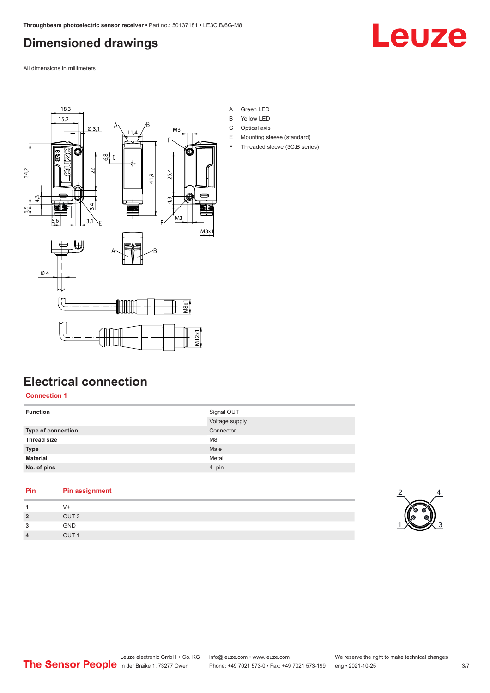## <span id="page-2-0"></span>**Dimensioned drawings**

Leuze

All dimensions in millimeters



#### **Electrical connection**

#### **Connection 1**

| <b>Function</b>    | Signal OUT<br>Voltage supply |
|--------------------|------------------------------|
| Type of connection | Connector                    |
| <b>Thread size</b> | M <sub>8</sub>               |
| <b>Type</b>        | Male                         |
| <b>Material</b>    | Metal                        |
| No. of pins        | 4-pin                        |

| Pin            | <b>Pin assignment</b> |
|----------------|-----------------------|
| 1              | V+                    |
| $\overline{2}$ | OUT <sub>2</sub>      |
| 3              | <b>GND</b>            |
| $\overline{4}$ | OUT <sub>1</sub>      |

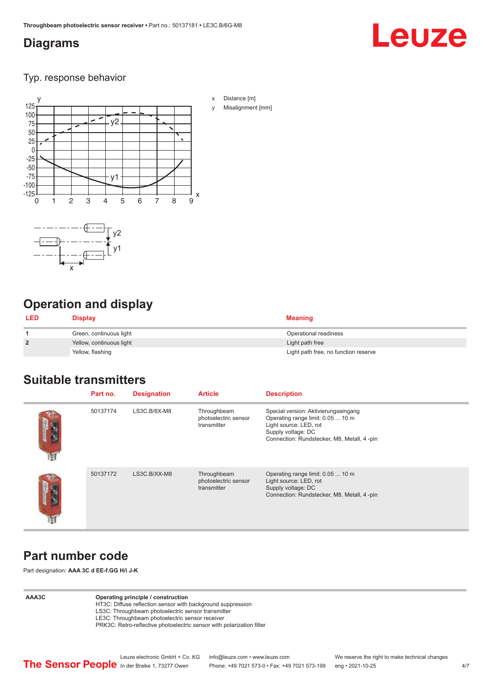### <span id="page-3-0"></span>**Diagrams**

# Leuze

Typ. response behavior



## **Operation and display**

x

| <b>LED</b>     | Display                  | <b>Meaning</b>                       |
|----------------|--------------------------|--------------------------------------|
|                | Green, continuous light  | Operational readiness                |
| $\overline{2}$ | Yellow, continuous light | Light path free                      |
|                | Yellow, flashing         | Light path free, no function reserve |

### **Suitable transmitters**

| Part no. | <b>Designation</b> | <b>Article</b>                                     | <b>Description</b>                                                                                                                                                       |
|----------|--------------------|----------------------------------------------------|--------------------------------------------------------------------------------------------------------------------------------------------------------------------------|
| 50137174 | LS3C.B/8X-M8       | Throughbeam<br>photoelectric sensor<br>transmitter | Special version: Aktivierungseingang<br>Operating range limit: 0.05  10 m<br>Light source: LED, rot<br>Supply voltage: DC<br>Connection: Rundstecker, M8, Metall, 4 -pin |
| 50137172 | LS3C.B/XX-M8       | Throughbeam<br>photoelectric sensor<br>transmitter | Operating range limit: 0.05  10 m<br>Light source: LED, rot<br>Supply voltage: DC<br>Connection: Rundstecker, M8, Metall, 4 -pin                                         |

## **Part number code**

Part designation: **AAA 3C d EE-f.GG H/i J-K**

#### **AAA3C Operating principle / construction**

HT3C: Diffuse reflection sensor with background suppression LS3C: Throughbeam photoelectric sensor transmitter

LE3C: Throughbeam photoelectric sensor receiver

PRK3C: Retro-reflective photoelectric sensor with polarization filter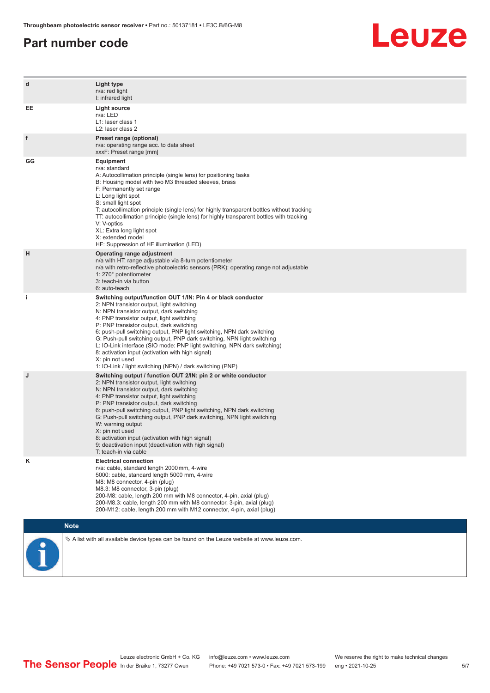#### **Part number code**



| d  | Light type<br>n/a: red light<br>I: infrared light                                                                                                                                                                                                                                                                                                                                                                                                                                                                                                                                                                   |
|----|---------------------------------------------------------------------------------------------------------------------------------------------------------------------------------------------------------------------------------------------------------------------------------------------------------------------------------------------------------------------------------------------------------------------------------------------------------------------------------------------------------------------------------------------------------------------------------------------------------------------|
| EE | <b>Light source</b><br>n/a: LED<br>L1: laser class 1<br>L2: laser class 2                                                                                                                                                                                                                                                                                                                                                                                                                                                                                                                                           |
| f  | Preset range (optional)<br>n/a: operating range acc. to data sheet<br>xxxF: Preset range [mm]                                                                                                                                                                                                                                                                                                                                                                                                                                                                                                                       |
| GG | Equipment<br>n/a: standard<br>A: Autocollimation principle (single lens) for positioning tasks<br>B: Housing model with two M3 threaded sleeves, brass<br>F: Permanently set range<br>L: Long light spot<br>S: small light spot<br>T: autocollimation principle (single lens) for highly transparent bottles without tracking<br>TT: autocollimation principle (single lens) for highly transparent bottles with tracking<br>V: V-optics<br>XL: Extra long light spot<br>X: extended model<br>HF: Suppression of HF illumination (LED)                                                                              |
| н  | Operating range adjustment<br>n/a with HT: range adjustable via 8-turn potentiometer<br>n/a with retro-reflective photoelectric sensors (PRK): operating range not adjustable<br>1: 270° potentiometer<br>3: teach-in via button<br>6: auto-teach                                                                                                                                                                                                                                                                                                                                                                   |
| i. | Switching output/function OUT 1/IN: Pin 4 or black conductor<br>2: NPN transistor output, light switching<br>N: NPN transistor output, dark switching<br>4: PNP transistor output, light switching<br>P: PNP transistor output, dark switching<br>6: push-pull switching output, PNP light switching, NPN dark switching<br>G: Push-pull switching output, PNP dark switching, NPN light switching<br>L: IO-Link interface (SIO mode: PNP light switching, NPN dark switching)<br>8: activation input (activation with high signal)<br>X: pin not used<br>1: IO-Link / light switching (NPN) / dark switching (PNP) |
| J  | Switching output / function OUT 2/IN: pin 2 or white conductor<br>2: NPN transistor output, light switching<br>N: NPN transistor output, dark switching<br>4: PNP transistor output, light switching<br>P: PNP transistor output, dark switching<br>6: push-pull switching output, PNP light switching, NPN dark switching<br>G: Push-pull switching output, PNP dark switching, NPN light switching<br>W: warning output<br>X: pin not used<br>8: activation input (activation with high signal)<br>9: deactivation input (deactivation with high signal)<br>T: teach-in via cable                                 |
| κ  | <b>Electrical connection</b><br>n/a: cable, standard length 2000 mm, 4-wire<br>5000: cable, standard length 5000 mm, 4-wire<br>M8: M8 connector, 4-pin (plug)<br>M8.3: M8 connector, 3-pin (plug)<br>200-M8: cable, length 200 mm with M8 connector, 4-pin, axial (plug)<br>200-M8.3: cable, length 200 mm with M8 connector, 3-pin, axial (plug)<br>200-M12: cable, length 200 mm with M12 connector, 4-pin, axial (plug)                                                                                                                                                                                          |
|    | <b>Note</b>                                                                                                                                                                                                                                                                                                                                                                                                                                                                                                                                                                                                         |
|    | $\&$ A list with all available device types can be found on the Leuze website at www.leuze.com.                                                                                                                                                                                                                                                                                                                                                                                                                                                                                                                     |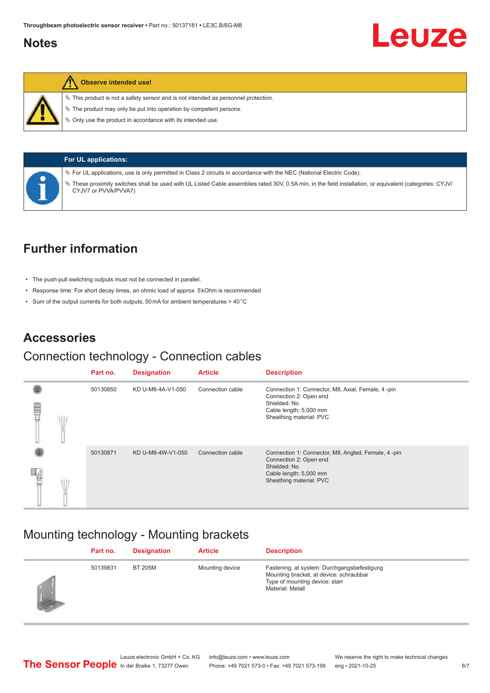### <span id="page-5-0"></span>**Notes**



#### **Observe intended use!**

 $\%$  This product is not a safety sensor and is not intended as personnel protection.

 $\ddot{\phi}$  The product may only be put into operation by competent persons.

 $\%$  Only use the product in accordance with its intended use.



**For UL applications:**

ª For UL applications, use is only permitted in Class 2 circuits in accordance with the NEC (National Electric Code).

ª These proximity switches shall be used with UL Listed Cable assemblies rated 30V, 0.5A min, in the field installation, or equivalent (categories: CYJV/ CYJV7 or PVVA/PVVA7)

## **Further information**

- The push-pull switching outputs must not be connected in parallel.
- Response time: For short decay times, an ohmic load of approx. 5 kOhm is recommended
- Sum of the output currents for both outputs, 50 mA for ambient temperatures > 40 °C

## **Accessories**

#### Connection technology - Connection cables

|   | Part no. | <b>Designation</b> | <b>Article</b>   | <b>Description</b>                                                                                                                                |
|---|----------|--------------------|------------------|---------------------------------------------------------------------------------------------------------------------------------------------------|
| ▤ | 50130850 | KD U-M8-4A-V1-050  | Connection cable | Connection 1: Connector, M8, Axial, Female, 4-pin<br>Connection 2: Open end<br>Shielded: No<br>Cable length: 5,000 mm<br>Sheathing material: PVC  |
|   | 50130871 | KD U-M8-4W-V1-050  | Connection cable | Connection 1: Connector, M8, Angled, Female, 4-pin<br>Connection 2: Open end<br>Shielded: No<br>Cable length: 5,000 mm<br>Sheathing material: PVC |

### Mounting technology - Mounting brackets

| Part no. | <b>Designation</b> | <b>Article</b>  | <b>Description</b>                                                                                                                           |
|----------|--------------------|-----------------|----------------------------------------------------------------------------------------------------------------------------------------------|
| 50139831 | <b>BT 205M</b>     | Mounting device | Fastening, at system: Durchgangsbefestigung<br>Mounting bracket, at device: schraubbar<br>Type of mounting device: starr<br>Material: Metall |

Leuze